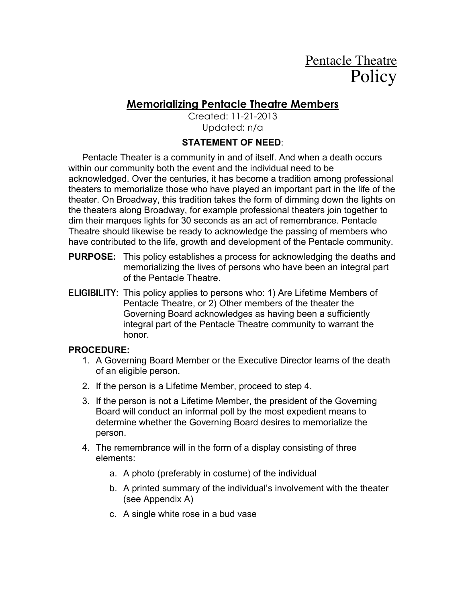# Pentacle Theatre **Policy**

## **Memorializing Pentacle Theatre Members**

Created: 11-21-2013 Updated: n/a

### **STATEMENT OF NEED**:

Pentacle Theater is a community in and of itself. And when a death occurs within our community both the event and the individual need to be acknowledged. Over the centuries, it has become a tradition among professional theaters to memorialize those who have played an important part in the life of the theater. On Broadway, this tradition takes the form of dimming down the lights on the theaters along Broadway, for example professional theaters join together to dim their marques lights for 30 seconds as an act of remembrance. Pentacle Theatre should likewise be ready to acknowledge the passing of members who have contributed to the life, growth and development of the Pentacle community.

- **PURPOSE:** This policy establishes a process for acknowledging the deaths and memorializing the lives of persons who have been an integral part of the Pentacle Theatre.
- **ELIGIBILITY:** This policy applies to persons who: 1) Are Lifetime Members of Pentacle Theatre, or 2) Other members of the theater the Governing Board acknowledges as having been a sufficiently integral part of the Pentacle Theatre community to warrant the honor.

#### **PROCEDURE:**

- 1. A Governing Board Member or the Executive Director learns of the death of an eligible person.
- 2. If the person is a Lifetime Member, proceed to step 4.
- 3. If the person is not a Lifetime Member, the president of the Governing Board will conduct an informal poll by the most expedient means to determine whether the Governing Board desires to memorialize the person.
- 4. The remembrance will in the form of a display consisting of three elements:
	- a. A photo (preferably in costume) of the individual
	- b. A printed summary of the individual's involvement with the theater (see Appendix A)
	- c. A single white rose in a bud vase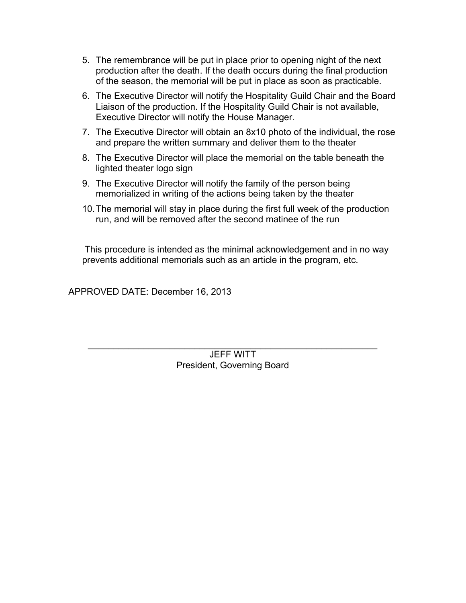- 5. The remembrance will be put in place prior to opening night of the next production after the death. If the death occurs during the final production of the season, the memorial will be put in place as soon as practicable.
- 6. The Executive Director will notify the Hospitality Guild Chair and the Board Liaison of the production. If the Hospitality Guild Chair is not available, Executive Director will notify the House Manager.
- 7. The Executive Director will obtain an 8x10 photo of the individual, the rose and prepare the written summary and deliver them to the theater
- 8. The Executive Director will place the memorial on the table beneath the lighted theater logo sign
- 9. The Executive Director will notify the family of the person being memorialized in writing of the actions being taken by the theater
- 10.The memorial will stay in place during the first full week of the production run, and will be removed after the second matinee of the run

 This procedure is intended as the minimal acknowledgement and in no way prevents additional memorials such as an article in the program, etc.

APPROVED DATE: December 16, 2013

JEFF WITT President, Governing Board

 $\mathcal{L}_\text{max}$  and  $\mathcal{L}_\text{max}$  and  $\mathcal{L}_\text{max}$  and  $\mathcal{L}_\text{max}$  and  $\mathcal{L}_\text{max}$